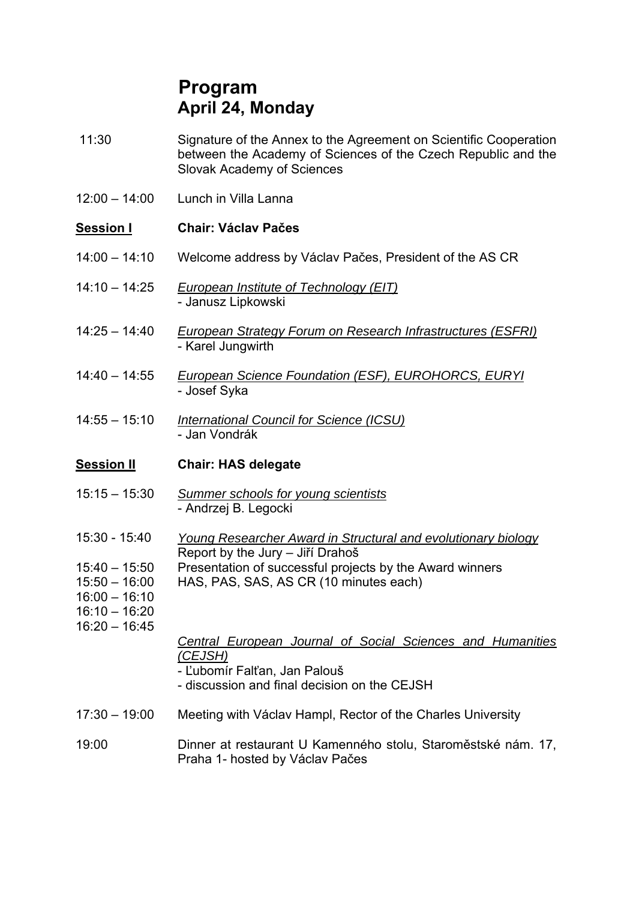## **Program April 24, Monday**

- 11:30 Signature of the Annex to the Agreement on Scientific Cooperation between the Academy of Sciences of the Czech Republic and the Slovak Academy of Sciences
- $12:00 14:00$  Lunch in Villa Lanna

### **Session I Chair: Václav Pačes**

- 14:00 14:10 Welcome address by Václav Pačes, President of the AS CR
- 14:10 14:25 *European Institute of Technology (EIT)* - Janusz Lipkowski
- 14:25 14:40 *European Strategy Forum on Research Infrastructures (ESFRI)* - Karel Jungwirth
- 14:40 14:55 *European Science Foundation (ESF), EUROHORCS, EURYI* - Josef Syka
- 14:55 15:10 *International Council for Science (ICSU)* - Jan Vondrák

#### **Session II Chair: HAS delegate**

- 15:15 15:30 *Summer schools for young scientists* - Andrzej B. Legocki
- 15:30 15:40 *Young Researcher Award in Structural and evolutionary biology*  Report by the Jury – Jiří Drahoš
- 15:40 15:50 Presentation of successful projects by the Award winners
- 15:50 16:00 HAS, PAS, SAS, AS CR (10 minutes each)
- 16:00 16:10 16:10 – 16:20
- 16:20 16:45

#### *Central European Journal of Social Sciences and Humanities (CEJSH)*

- Ľubomír Falťan, Jan Palouš
- discussion and final decision on the CEJSH
- 17:30 19:00 Meeting with Václav Hampl, Rector of the Charles University

#### 19:00 Dinner at restaurant U Kamenného stolu, Staroměstské nám. 17, Praha 1- hosted by Václav Pačes